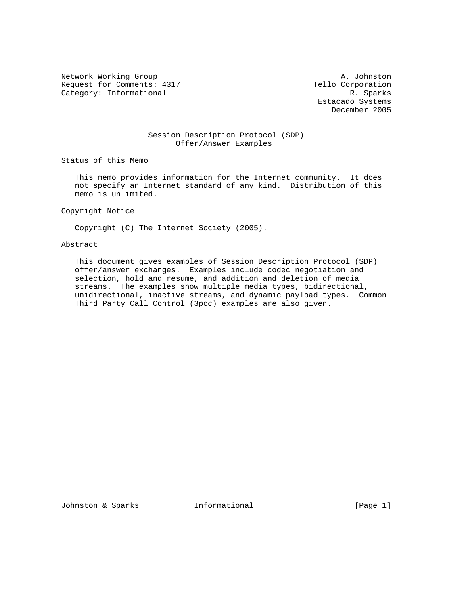Network Working Group and A. Johnston A. Johnston Request for Comments: 4317 Tello Corporation<br>Category: Informational R. Sparks Category: Informational

 Estacado Systems December 2005

### Session Description Protocol (SDP) Offer/Answer Examples

Status of this Memo

 This memo provides information for the Internet community. It does not specify an Internet standard of any kind. Distribution of this memo is unlimited.

Copyright Notice

Copyright (C) The Internet Society (2005).

## Abstract

 This document gives examples of Session Description Protocol (SDP) offer/answer exchanges. Examples include codec negotiation and selection, hold and resume, and addition and deletion of media streams. The examples show multiple media types, bidirectional, unidirectional, inactive streams, and dynamic payload types. Common Third Party Call Control (3pcc) examples are also given.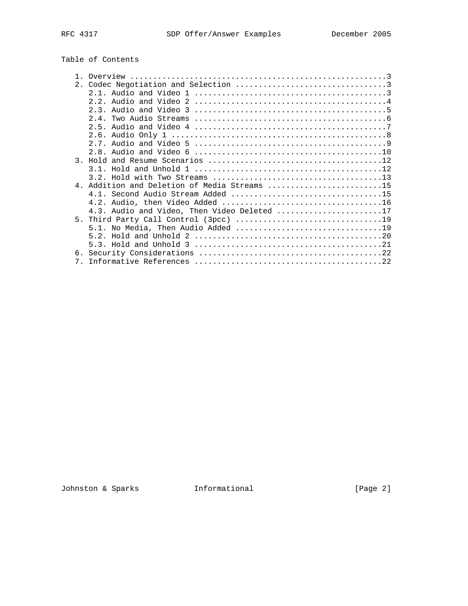# Table of Contents

|                | 4. Addition and Deletion of Media Streams 15 |
|----------------|----------------------------------------------|
|                |                                              |
|                |                                              |
|                | 4.3. Audio and Video, Then Video Deleted 17  |
|                |                                              |
|                |                                              |
|                |                                              |
|                |                                              |
|                |                                              |
| 7 <sub>1</sub> |                                              |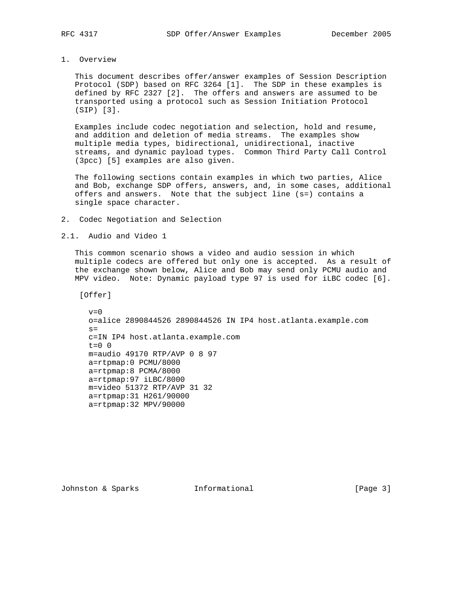### 1. Overview

 This document describes offer/answer examples of Session Description Protocol (SDP) based on RFC 3264 [1]. The SDP in these examples is defined by RFC 2327 [2]. The offers and answers are assumed to be transported using a protocol such as Session Initiation Protocol (SIP) [3].

 Examples include codec negotiation and selection, hold and resume, and addition and deletion of media streams. The examples show multiple media types, bidirectional, unidirectional, inactive streams, and dynamic payload types. Common Third Party Call Control (3pcc) [5] examples are also given.

 The following sections contain examples in which two parties, Alice and Bob, exchange SDP offers, answers, and, in some cases, additional offers and answers. Note that the subject line (s=) contains a single space character.

2. Codec Negotiation and Selection

2.1. Audio and Video 1

 This common scenario shows a video and audio session in which multiple codecs are offered but only one is accepted. As a result of the exchange shown below, Alice and Bob may send only PCMU audio and MPV video. Note: Dynamic payload type 97 is used for iLBC codec [6].

[Offer]

 $v=0$  o=alice 2890844526 2890844526 IN IP4 host.atlanta.example.com  $s=$  c=IN IP4 host.atlanta.example.com  $t=0$  0 m=audio 49170 RTP/AVP 0 8 97 a=rtpmap:0 PCMU/8000 a=rtpmap:8 PCMA/8000 a=rtpmap:97 iLBC/8000 m=video 51372 RTP/AVP 31 32 a=rtpmap:31 H261/90000 a=rtpmap:32 MPV/90000

Johnston & Sparks **Informational** [Page 3]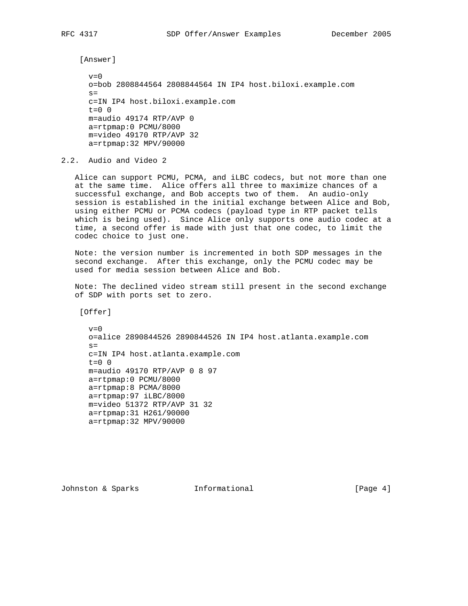[Answer]

 $v=0$  o=bob 2808844564 2808844564 IN IP4 host.biloxi.example.com  $s=$  c=IN IP4 host.biloxi.example.com  $t=0$  0 m=audio 49174 RTP/AVP 0 a=rtpmap:0 PCMU/8000 m=video 49170 RTP/AVP 32 a=rtpmap:32 MPV/90000

2.2. Audio and Video 2

 Alice can support PCMU, PCMA, and iLBC codecs, but not more than one at the same time. Alice offers all three to maximize chances of a successful exchange, and Bob accepts two of them. An audio-only session is established in the initial exchange between Alice and Bob, using either PCMU or PCMA codecs (payload type in RTP packet tells which is being used). Since Alice only supports one audio codec at a time, a second offer is made with just that one codec, to limit the codec choice to just one.

 Note: the version number is incremented in both SDP messages in the second exchange. After this exchange, only the PCMU codec may be used for media session between Alice and Bob.

 Note: The declined video stream still present in the second exchange of SDP with ports set to zero.

[Offer]

 $v=0$  o=alice 2890844526 2890844526 IN IP4 host.atlanta.example.com  $s=$  c=IN IP4 host.atlanta.example.com  $t=0$  0 m=audio 49170 RTP/AVP 0 8 97 a=rtpmap:0 PCMU/8000 a=rtpmap:8 PCMA/8000 a=rtpmap:97 iLBC/8000 m=video 51372 RTP/AVP 31 32 a=rtpmap:31 H261/90000 a=rtpmap:32 MPV/90000

Johnston & Sparks **Informational** [Page 4]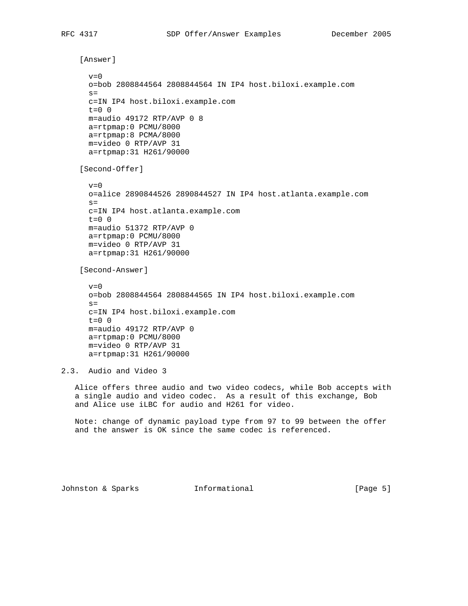```
 [Answer]
      v=0 o=bob 2808844564 2808844564 IN IP4 host.biloxi.example.com
      s= c=IN IP4 host.biloxi.example.com
     t=0 0
      m=audio 49172 RTP/AVP 0 8
      a=rtpmap:0 PCMU/8000
      a=rtpmap:8 PCMA/8000
      m=video 0 RTP/AVP 31
      a=rtpmap:31 H261/90000
     [Second-Offer]
      v=0 o=alice 2890844526 2890844527 IN IP4 host.atlanta.example.com
      s= c=IN IP4 host.atlanta.example.com
      t=0 0
      m=audio 51372 RTP/AVP 0
      a=rtpmap:0 PCMU/8000
      m=video 0 RTP/AVP 31
      a=rtpmap:31 H261/90000
     [Second-Answer]
      v=0 o=bob 2808844564 2808844565 IN IP4 host.biloxi.example.com
     s= c=IN IP4 host.biloxi.example.com
      t=0 0
      m=audio 49172 RTP/AVP 0
      a=rtpmap:0 PCMU/8000
      m=video 0 RTP/AVP 31
      a=rtpmap:31 H261/90000
2.3. Audio and Video 3
   Alice offers three audio and two video codecs, while Bob accepts with
    a single audio and video codec. As a result of this exchange, Bob
   and Alice use iLBC for audio and H261 for video.
```
 Note: change of dynamic payload type from 97 to 99 between the offer and the answer is OK since the same codec is referenced.

Johnston & Sparks **Informational** [Page 5]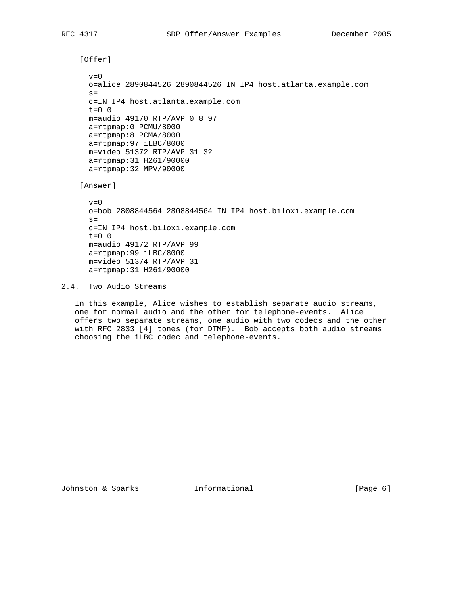```
 [Offer]
 v=0 o=alice 2890844526 2890844526 IN IP4 host.atlanta.example.com
 s= c=IN IP4 host.atlanta.example.com
 t=0 0
  m=audio 49170 RTP/AVP 0 8 97
  a=rtpmap:0 PCMU/8000
  a=rtpmap:8 PCMA/8000
  a=rtpmap:97 iLBC/8000
  m=video 51372 RTP/AVP 31 32
  a=rtpmap:31 H261/90000
  a=rtpmap:32 MPV/90000
 [Answer]
 v=0 o=bob 2808844564 2808844564 IN IP4 host.biloxi.example.com
 s= c=IN IP4 host.biloxi.example.com
 t=0 0
  m=audio 49172 RTP/AVP 99
  a=rtpmap:99 iLBC/8000
  m=video 51374 RTP/AVP 31
  a=rtpmap:31 H261/90000
```
2.4. Two Audio Streams

 In this example, Alice wishes to establish separate audio streams, one for normal audio and the other for telephone-events. Alice offers two separate streams, one audio with two codecs and the other with RFC 2833 [4] tones (for DTMF). Bob accepts both audio streams choosing the iLBC codec and telephone-events.

Johnston & Sparks **Informational** [Page 6]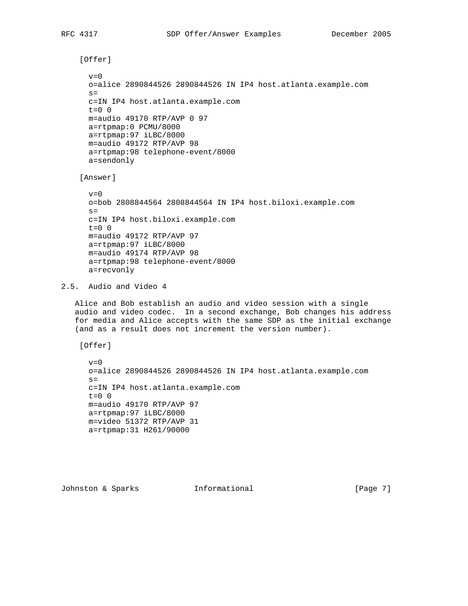```
 [Offer]
      v=0 o=alice 2890844526 2890844526 IN IP4 host.atlanta.example.com
      s= c=IN IP4 host.atlanta.example.com
     t=0 0
      m=audio 49170 RTP/AVP 0 97
      a=rtpmap:0 PCMU/8000
      a=rtpmap:97 iLBC/8000
      m=audio 49172 RTP/AVP 98
      a=rtpmap:98 telephone-event/8000
      a=sendonly
     [Answer]
     v=0 o=bob 2808844564 2808844564 IN IP4 host.biloxi.example.com
     s= c=IN IP4 host.biloxi.example.com
      t=0 0
      m=audio 49172 RTP/AVP 97
      a=rtpmap:97 iLBC/8000
      m=audio 49174 RTP/AVP 98
      a=rtpmap:98 telephone-event/8000
      a=recvonly
2.5. Audio and Video 4
```
 Alice and Bob establish an audio and video session with a single audio and video codec. In a second exchange, Bob changes his address for media and Alice accepts with the same SDP as the initial exchange (and as a result does not increment the version number).

[Offer]

```
v=0 o=alice 2890844526 2890844526 IN IP4 host.atlanta.example.com
s= c=IN IP4 host.atlanta.example.com
 t=0 0
 m=audio 49170 RTP/AVP 97
 a=rtpmap:97 iLBC/8000
 m=video 51372 RTP/AVP 31
 a=rtpmap:31 H261/90000
```
Johnston & Sparks **Informational** [Page 7]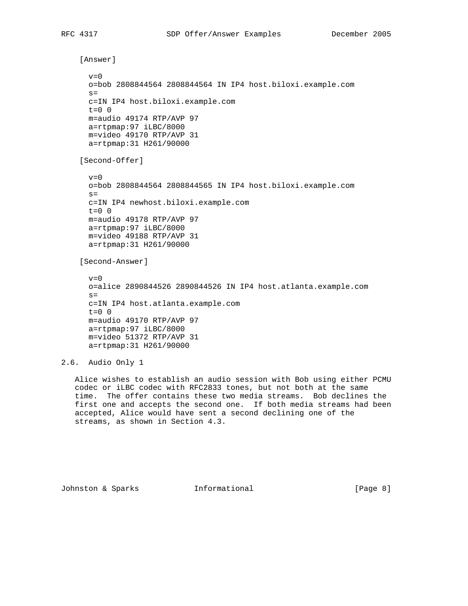```
 [Answer]
      v=0 o=bob 2808844564 2808844564 IN IP4 host.biloxi.example.com
      s= c=IN IP4 host.biloxi.example.com
      t=0 0
      m=audio 49174 RTP/AVP 97
      a=rtpmap:97 iLBC/8000
      m=video 49170 RTP/AVP 31
      a=rtpmap:31 H261/90000
     [Second-Offer]
      v=0 o=bob 2808844564 2808844565 IN IP4 host.biloxi.example.com
      s= c=IN IP4 newhost.biloxi.example.com
      t=0 0
      m=audio 49178 RTP/AVP 97
      a=rtpmap:97 iLBC/8000
      m=video 49188 RTP/AVP 31
      a=rtpmap:31 H261/90000
     [Second-Answer]
      v=0 o=alice 2890844526 2890844526 IN IP4 host.atlanta.example.com
      s= c=IN IP4 host.atlanta.example.com
     t=0 0
      m=audio 49170 RTP/AVP 97
      a=rtpmap:97 iLBC/8000
      m=video 51372 RTP/AVP 31
      a=rtpmap:31 H261/90000
2.6. Audio Only 1
   Alice wishes to establish an audio session with Bob using either PCMU
```
 codec or iLBC codec with RFC2833 tones, but not both at the same time. The offer contains these two media streams. Bob declines the first one and accepts the second one. If both media streams had been accepted, Alice would have sent a second declining one of the streams, as shown in Section 4.3.

Johnston & Sparks **Informational** [Page 8]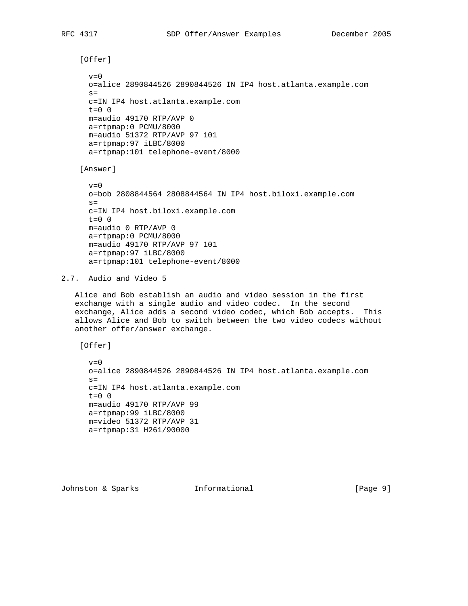[Offer]

```
v=0 o=alice 2890844526 2890844526 IN IP4 host.atlanta.example.com
s= c=IN IP4 host.atlanta.example.com
t=0 0
 m=audio 49170 RTP/AVP 0
 a=rtpmap:0 PCMU/8000
 m=audio 51372 RTP/AVP 97 101
 a=rtpmap:97 iLBC/8000
 a=rtpmap:101 telephone-event/8000
```
[Answer]

 $v=0$  o=bob 2808844564 2808844564 IN IP4 host.biloxi.example.com  $s=$  c=IN IP4 host.biloxi.example.com t=0 0 m=audio 0 RTP/AVP 0 a=rtpmap:0 PCMU/8000 m=audio 49170 RTP/AVP 97 101 a=rtpmap:97 iLBC/8000 a=rtpmap:101 telephone-event/8000

2.7. Audio and Video 5

 Alice and Bob establish an audio and video session in the first exchange with a single audio and video codec. In the second exchange, Alice adds a second video codec, which Bob accepts. This allows Alice and Bob to switch between the two video codecs without another offer/answer exchange.

[Offer]

```
v=0 o=alice 2890844526 2890844526 IN IP4 host.atlanta.example.com
s= c=IN IP4 host.atlanta.example.com
 t=0 0
 m=audio 49170 RTP/AVP 99
 a=rtpmap:99 iLBC/8000
 m=video 51372 RTP/AVP 31
 a=rtpmap:31 H261/90000
```
Johnston & Sparks **Informational** [Page 9]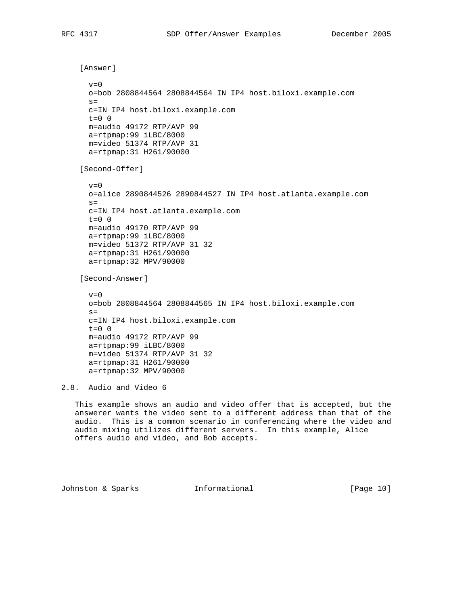```
 [Answer]
      v=0 o=bob 2808844564 2808844564 IN IP4 host.biloxi.example.com
     s= c=IN IP4 host.biloxi.example.com
      t=0 0
      m=audio 49172 RTP/AVP 99
      a=rtpmap:99 iLBC/8000
      m=video 51374 RTP/AVP 31
      a=rtpmap:31 H261/90000
     [Second-Offer]
      v=0 o=alice 2890844526 2890844527 IN IP4 host.atlanta.example.com
      s= c=IN IP4 host.atlanta.example.com
      t=0 0
      m=audio 49170 RTP/AVP 99
      a=rtpmap:99 iLBC/8000
      m=video 51372 RTP/AVP 31 32
      a=rtpmap:31 H261/90000
      a=rtpmap:32 MPV/90000
     [Second-Answer]
      v=0 o=bob 2808844564 2808844565 IN IP4 host.biloxi.example.com
      s= c=IN IP4 host.biloxi.example.com
     t=0 0
      m=audio 49172 RTP/AVP 99
      a=rtpmap:99 iLBC/8000
      m=video 51374 RTP/AVP 31 32
      a=rtpmap:31 H261/90000
      a=rtpmap:32 MPV/90000
2.8. Audio and Video 6
```
 This example shows an audio and video offer that is accepted, but the answerer wants the video sent to a different address than that of the audio. This is a common scenario in conferencing where the video and audio mixing utilizes different servers. In this example, Alice offers audio and video, and Bob accepts.

Johnston & Sparks Informational [Page 10]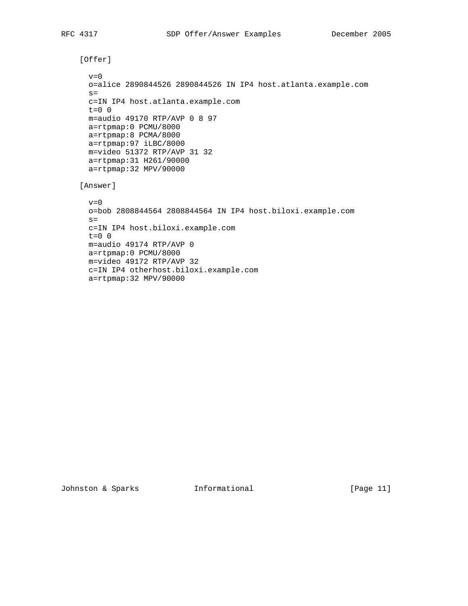```
 [Offer]
 v=0 o=alice 2890844526 2890844526 IN IP4 host.atlanta.example.com
 s= c=IN IP4 host.atlanta.example.com
  t=0 0
  m=audio 49170 RTP/AVP 0 8 97
  a=rtpmap:0 PCMU/8000
  a=rtpmap:8 PCMA/8000
  a=rtpmap:97 iLBC/8000
  m=video 51372 RTP/AVP 31 32
  a=rtpmap:31 H261/90000
  a=rtpmap:32 MPV/90000
 [Answer]
 v=0 o=bob 2808844564 2808844564 IN IP4 host.biloxi.example.com
 s= c=IN IP4 host.biloxi.example.com
 t=0 0
  m=audio 49174 RTP/AVP 0
  a=rtpmap:0 PCMU/8000
  m=video 49172 RTP/AVP 32
  c=IN IP4 otherhost.biloxi.example.com
```
a=rtpmap:32 MPV/90000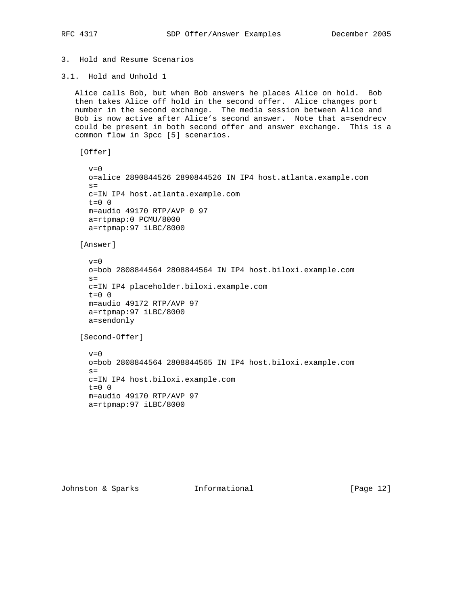## 3. Hold and Resume Scenarios

3.1. Hold and Unhold 1

 Alice calls Bob, but when Bob answers he places Alice on hold. Bob then takes Alice off hold in the second offer. Alice changes port number in the second exchange. The media session between Alice and Bob is now active after Alice's second answer. Note that a=sendrecv could be present in both second offer and answer exchange. This is a common flow in 3pcc [5] scenarios.

[Offer]

```
v=0 o=alice 2890844526 2890844526 IN IP4 host.atlanta.example.com
s= c=IN IP4 host.atlanta.example.com
t=0 0
 m=audio 49170 RTP/AVP 0 97
 a=rtpmap:0 PCMU/8000
 a=rtpmap:97 iLBC/8000
```
[Answer]

```
v=0 o=bob 2808844564 2808844564 IN IP4 host.biloxi.example.com
s= c=IN IP4 placeholder.biloxi.example.com
 t=0 0
 m=audio 49172 RTP/AVP 97
 a=rtpmap:97 iLBC/8000
 a=sendonly
```

```
 [Second-Offer]
```

```
v=0 o=bob 2808844564 2808844565 IN IP4 host.biloxi.example.com
s= c=IN IP4 host.biloxi.example.com
 t=0 0
 m=audio 49170 RTP/AVP 97
 a=rtpmap:97 iLBC/8000
```
Johnston & Sparks Informational [Page 12]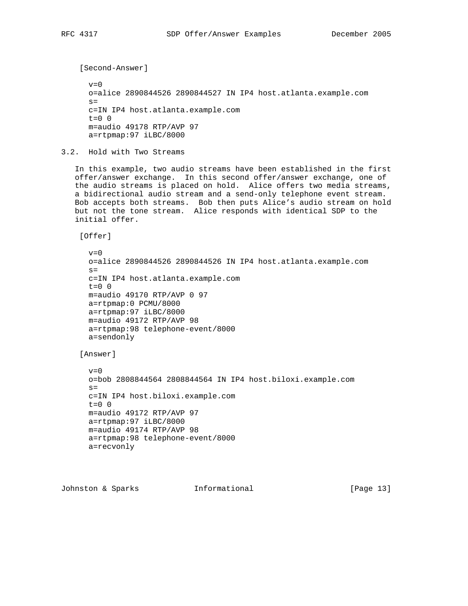[Second-Answer]  $v=0$  o=alice 2890844526 2890844527 IN IP4 host.atlanta.example.com  $s=$  c=IN IP4 host.atlanta.example.com t=0 0 m=audio 49178 RTP/AVP 97 a=rtpmap:97 iLBC/8000

3.2. Hold with Two Streams

 In this example, two audio streams have been established in the first offer/answer exchange. In this second offer/answer exchange, one of the audio streams is placed on hold. Alice offers two media streams, a bidirectional audio stream and a send-only telephone event stream. Bob accepts both streams. Bob then puts Alice's audio stream on hold but not the tone stream. Alice responds with identical SDP to the initial offer.

[Offer]

```
v=0 o=alice 2890844526 2890844526 IN IP4 host.atlanta.example.com
s= c=IN IP4 host.atlanta.example.com
t=0 0
 m=audio 49170 RTP/AVP 0 97
 a=rtpmap:0 PCMU/8000
 a=rtpmap:97 iLBC/8000
 m=audio 49172 RTP/AVP 98
 a=rtpmap:98 telephone-event/8000
 a=sendonly
```
[Answer]

```
v=0 o=bob 2808844564 2808844564 IN IP4 host.biloxi.example.com
s= c=IN IP4 host.biloxi.example.com
t=0 0
 m=audio 49172 RTP/AVP 97
 a=rtpmap:97 iLBC/8000
 m=audio 49174 RTP/AVP 98
 a=rtpmap:98 telephone-event/8000
 a=recvonly
```
Johnston & Sparks Informational [Page 13]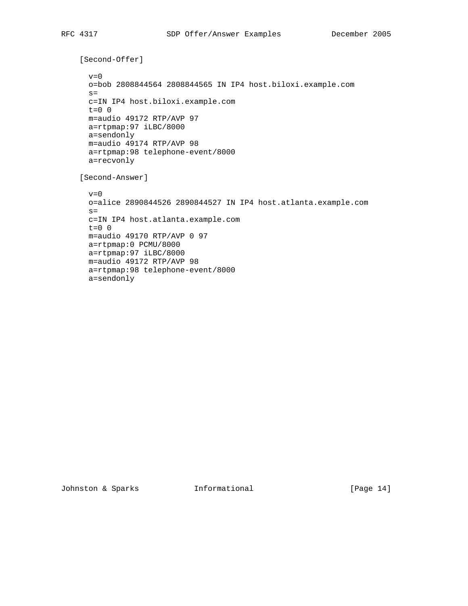```
 [Second-Offer]
 v=0 o=bob 2808844564 2808844565 IN IP4 host.biloxi.example.com
 s= c=IN IP4 host.biloxi.example.com
  t=0 0
  m=audio 49172 RTP/AVP 97
  a=rtpmap:97 iLBC/8000
  a=sendonly
  m=audio 49174 RTP/AVP 98
  a=rtpmap:98 telephone-event/8000
  a=recvonly
 [Second-Answer]
 v=0 o=alice 2890844526 2890844527 IN IP4 host.atlanta.example.com
 s= c=IN IP4 host.atlanta.example.com
  t=0 0
  m=audio 49170 RTP/AVP 0 97
  a=rtpmap:0 PCMU/8000
  a=rtpmap:97 iLBC/8000
  m=audio 49172 RTP/AVP 98
  a=rtpmap:98 telephone-event/8000
  a=sendonly
```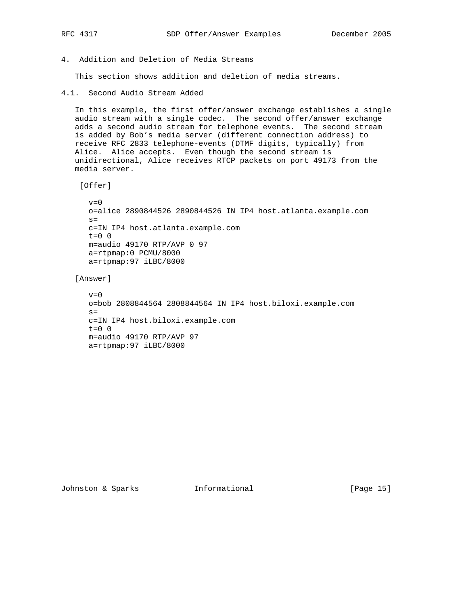- 
- 4. Addition and Deletion of Media Streams

This section shows addition and deletion of media streams.

4.1. Second Audio Stream Added

 In this example, the first offer/answer exchange establishes a single audio stream with a single codec. The second offer/answer exchange adds a second audio stream for telephone events. The second stream is added by Bob's media server (different connection address) to receive RFC 2833 telephone-events (DTMF digits, typically) from Alice. Alice accepts. Even though the second stream is unidirectional, Alice receives RTCP packets on port 49173 from the media server.

[Offer]

```
v=0 o=alice 2890844526 2890844526 IN IP4 host.atlanta.example.com
s= c=IN IP4 host.atlanta.example.com
t=0 0
 m=audio 49170 RTP/AVP 0 97
 a=rtpmap:0 PCMU/8000
 a=rtpmap:97 iLBC/8000
```
[Answer]

```
v=0 o=bob 2808844564 2808844564 IN IP4 host.biloxi.example.com
s= c=IN IP4 host.biloxi.example.com
 t=0 0
 m=audio 49170 RTP/AVP 97
 a=rtpmap:97 iLBC/8000
```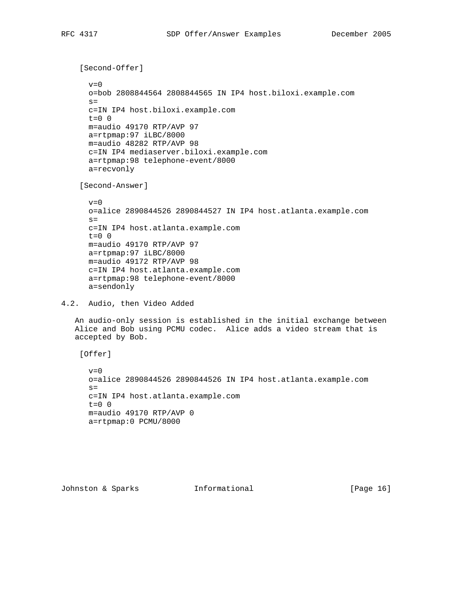```
 [Second-Offer]
      v=0 o=bob 2808844564 2808844565 IN IP4 host.biloxi.example.com
     s= c=IN IP4 host.biloxi.example.com
      t=0 0
      m=audio 49170 RTP/AVP 97
      a=rtpmap:97 iLBC/8000
      m=audio 48282 RTP/AVP 98
      c=IN IP4 mediaserver.biloxi.example.com
      a=rtpmap:98 telephone-event/8000
      a=recvonly
     [Second-Answer]
     v=0 o=alice 2890844526 2890844527 IN IP4 host.atlanta.example.com
     s= c=IN IP4 host.atlanta.example.com
     t=0 0
      m=audio 49170 RTP/AVP 97
      a=rtpmap:97 iLBC/8000
      m=audio 49172 RTP/AVP 98
      c=IN IP4 host.atlanta.example.com
      a=rtpmap:98 telephone-event/8000
      a=sendonly
4.2. Audio, then Video Added
   An audio-only session is established in the initial exchange between
   Alice and Bob using PCMU codec. Alice adds a video stream that is
```
 accepted by Bob. [Offer]

 $v=0$  o=alice 2890844526 2890844526 IN IP4 host.atlanta.example.com  $s=$  c=IN IP4 host.atlanta.example.com  $t=0$  0 m=audio 49170 RTP/AVP 0 a=rtpmap:0 PCMU/8000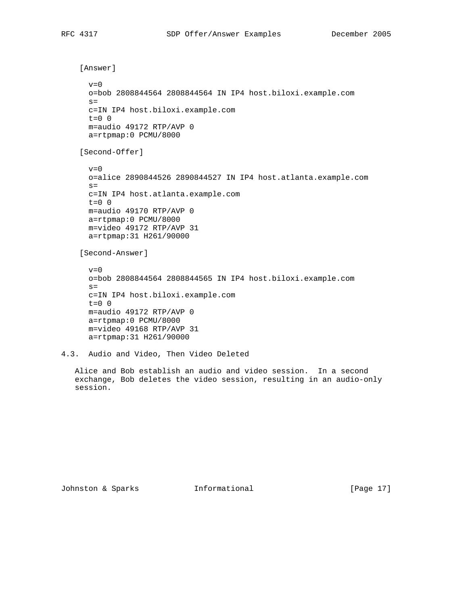```
 [Answer]
      v=0 o=bob 2808844564 2808844564 IN IP4 host.biloxi.example.com
     s= c=IN IP4 host.biloxi.example.com
      t=0 0
      m=audio 49172 RTP/AVP 0
      a=rtpmap:0 PCMU/8000
     [Second-Offer]
     v=0 o=alice 2890844526 2890844527 IN IP4 host.atlanta.example.com
      s= c=IN IP4 host.atlanta.example.com
     t=0 0
      m=audio 49170 RTP/AVP 0
      a=rtpmap:0 PCMU/8000
      m=video 49172 RTP/AVP 31
      a=rtpmap:31 H261/90000
     [Second-Answer]
      v=0 o=bob 2808844564 2808844565 IN IP4 host.biloxi.example.com
      s= c=IN IP4 host.biloxi.example.com
     t=0 0
      m=audio 49172 RTP/AVP 0
      a=rtpmap:0 PCMU/8000
      m=video 49168 RTP/AVP 31
      a=rtpmap:31 H261/90000
4.3. Audio and Video, Then Video Deleted
   Alice and Bob establish an audio and video session. In a second
   exchange, Bob deletes the video session, resulting in an audio-only
```
Johnston & Sparks **Informational** [Page 17]

session.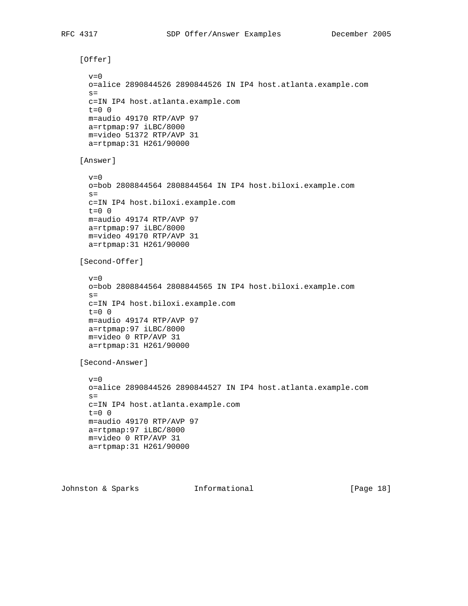```
 [Offer]
 v=0 o=alice 2890844526 2890844526 IN IP4 host.atlanta.example.com
 s= c=IN IP4 host.atlanta.example.com
 t=0 0
  m=audio 49170 RTP/AVP 97
  a=rtpmap:97 iLBC/8000
  m=video 51372 RTP/AVP 31
  a=rtpmap:31 H261/90000
 [Answer]
 v=0 o=bob 2808844564 2808844564 IN IP4 host.biloxi.example.com
 s= c=IN IP4 host.biloxi.example.com
 t=0 0
  m=audio 49174 RTP/AVP 97
  a=rtpmap:97 iLBC/8000
  m=video 49170 RTP/AVP 31
  a=rtpmap:31 H261/90000
 [Second-Offer]
 v=0 o=bob 2808844564 2808844565 IN IP4 host.biloxi.example.com
 s= c=IN IP4 host.biloxi.example.com
 t=0 0
  m=audio 49174 RTP/AVP 97
  a=rtpmap:97 iLBC/8000
  m=video 0 RTP/AVP 31
  a=rtpmap:31 H261/90000
 [Second-Answer]
 v=0 o=alice 2890844526 2890844527 IN IP4 host.atlanta.example.com
 s= c=IN IP4 host.atlanta.example.com
 t=0 0
  m=audio 49170 RTP/AVP 97
  a=rtpmap:97 iLBC/8000
  m=video 0 RTP/AVP 31
  a=rtpmap:31 H261/90000
```
Johnston & Sparks Informational [Page 18]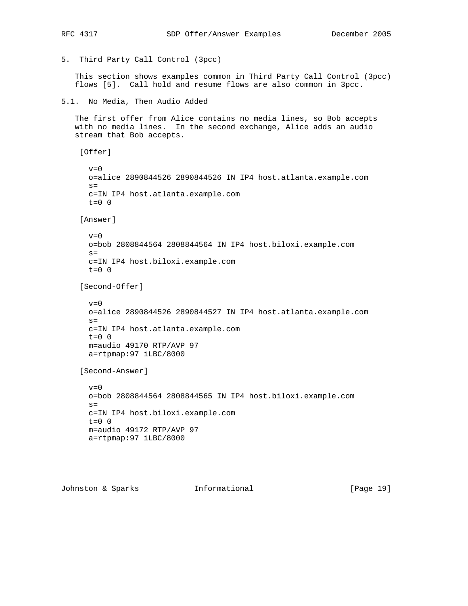```
5. Third Party Call Control (3pcc)
```
 This section shows examples common in Third Party Call Control (3pcc) flows [5]. Call hold and resume flows are also common in 3pcc.

```
5.1. No Media, Then Audio Added
```
 The first offer from Alice contains no media lines, so Bob accepts with no media lines. In the second exchange, Alice adds an audio stream that Bob accepts.

```
 [Offer]
```
 $v=0$  o=alice 2890844526 2890844526 IN IP4 host.atlanta.example.com  $s=$  c=IN IP4 host.atlanta.example.com  $t=0$  0

[Answer]

```
v=0 o=bob 2808844564 2808844564 IN IP4 host.biloxi.example.com
s= c=IN IP4 host.biloxi.example.com
 t=0 0
```
[Second-Offer]

```
v=0 o=alice 2890844526 2890844527 IN IP4 host.atlanta.example.com
s= c=IN IP4 host.atlanta.example.com
t=0 0
 m=audio 49170 RTP/AVP 97
 a=rtpmap:97 iLBC/8000
```
[Second-Answer]

```
v=0 o=bob 2808844564 2808844565 IN IP4 host.biloxi.example.com
s= c=IN IP4 host.biloxi.example.com
 t=0 0
 m=audio 49172 RTP/AVP 97
 a=rtpmap:97 iLBC/8000
```
Johnston & Sparks Informational [Page 19]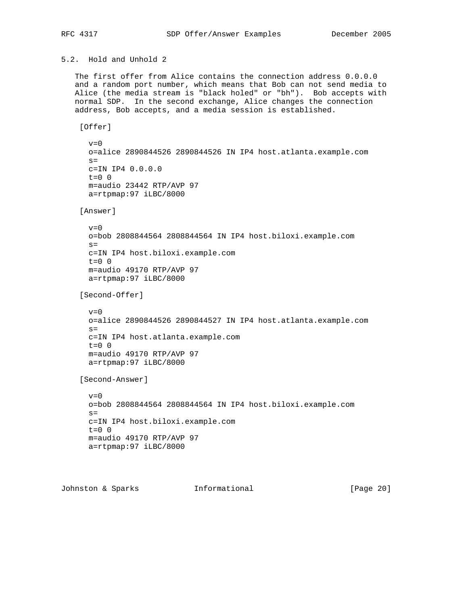```
5.2. Hold and Unhold 2
```
 The first offer from Alice contains the connection address 0.0.0.0 and a random port number, which means that Bob can not send media to Alice (the media stream is "black holed" or "bh"). Bob accepts with normal SDP. In the second exchange, Alice changes the connection address, Bob accepts, and a media session is established.

[Offer]

```
v=0 o=alice 2890844526 2890844526 IN IP4 host.atlanta.example.com
s= c=IN IP4 0.0.0.0
t=0 0
 m=audio 23442 RTP/AVP 97
 a=rtpmap:97 iLBC/8000
```
[Answer]

```
v=0 o=bob 2808844564 2808844564 IN IP4 host.biloxi.example.com
s= c=IN IP4 host.biloxi.example.com
t=0 0
 m=audio 49170 RTP/AVP 97
 a=rtpmap:97 iLBC/8000
```

```
 [Second-Offer]
```

```
v=0 o=alice 2890844526 2890844527 IN IP4 host.atlanta.example.com
s= c=IN IP4 host.atlanta.example.com
t=0 0
 m=audio 49170 RTP/AVP 97
 a=rtpmap:97 iLBC/8000
```
[Second-Answer]

```
v=0 o=bob 2808844564 2808844564 IN IP4 host.biloxi.example.com
s= c=IN IP4 host.biloxi.example.com
t=0 0
 m=audio 49170 RTP/AVP 97
 a=rtpmap:97 iLBC/8000
```
Johnston & Sparks Informational [Page 20]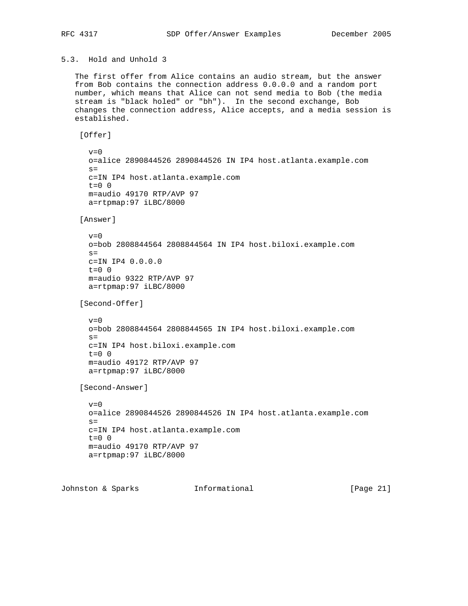# 5.3. Hold and Unhold 3

```
 The first offer from Alice contains an audio stream, but the answer
 from Bob contains the connection address 0.0.0.0 and a random port
 number, which means that Alice can not send media to Bob (the media
 stream is "black holed" or "bh"). In the second exchange, Bob
 changes the connection address, Alice accepts, and a media session is
 established.
  [Offer]
  v=0 o=alice 2890844526 2890844526 IN IP4 host.atlanta.example.com
   s= c=IN IP4 host.atlanta.example.com
  t=0 0
   m=audio 49170 RTP/AVP 97
   a=rtpmap:97 iLBC/8000
  [Answer]
   v=0 o=bob 2808844564 2808844564 IN IP4 host.biloxi.example.com
  s= c=IN IP4 0.0.0.0
    t=0 0
   m=audio 9322 RTP/AVP 97
   a=rtpmap:97 iLBC/8000
  [Second-Offer]
   v=0 o=bob 2808844564 2808844565 IN IP4 host.biloxi.example.com
   s= c=IN IP4 host.biloxi.example.com
  t=0 0
   m=audio 49172 RTP/AVP 97
   a=rtpmap:97 iLBC/8000
  [Second-Answer]
   v=0 o=alice 2890844526 2890844526 IN IP4 host.atlanta.example.com
   s= c=IN IP4 host.atlanta.example.com
   t=0 0
   m=audio 49170 RTP/AVP 97
   a=rtpmap:97 iLBC/8000
```
Johnston & Sparks Informational [Page 21]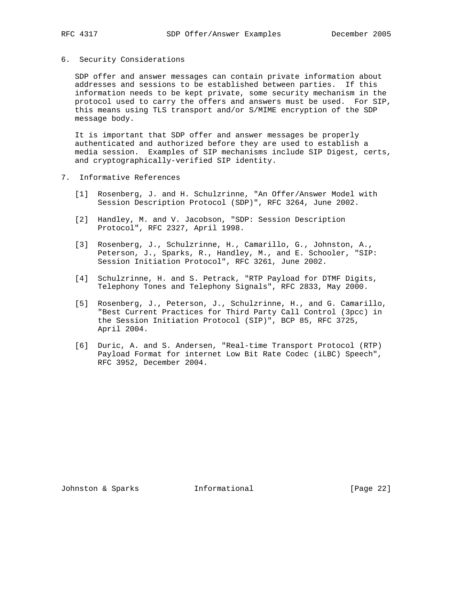### 6. Security Considerations

 SDP offer and answer messages can contain private information about addresses and sessions to be established between parties. If this information needs to be kept private, some security mechanism in the protocol used to carry the offers and answers must be used. For SIP, this means using TLS transport and/or S/MIME encryption of the SDP message body.

 It is important that SDP offer and answer messages be properly authenticated and authorized before they are used to establish a media session. Examples of SIP mechanisms include SIP Digest, certs, and cryptographically-verified SIP identity.

- 7. Informative References
	- [1] Rosenberg, J. and H. Schulzrinne, "An Offer/Answer Model with Session Description Protocol (SDP)", RFC 3264, June 2002.
	- [2] Handley, M. and V. Jacobson, "SDP: Session Description Protocol", RFC 2327, April 1998.
	- [3] Rosenberg, J., Schulzrinne, H., Camarillo, G., Johnston, A., Peterson, J., Sparks, R., Handley, M., and E. Schooler, "SIP: Session Initiation Protocol", RFC 3261, June 2002.
	- [4] Schulzrinne, H. and S. Petrack, "RTP Payload for DTMF Digits, Telephony Tones and Telephony Signals", RFC 2833, May 2000.
	- [5] Rosenberg, J., Peterson, J., Schulzrinne, H., and G. Camarillo, "Best Current Practices for Third Party Call Control (3pcc) in the Session Initiation Protocol (SIP)", BCP 85, RFC 3725, April 2004.
	- [6] Duric, A. and S. Andersen, "Real-time Transport Protocol (RTP) Payload Format for internet Low Bit Rate Codec (iLBC) Speech", RFC 3952, December 2004.

Johnston & Sparks Informational [Page 22]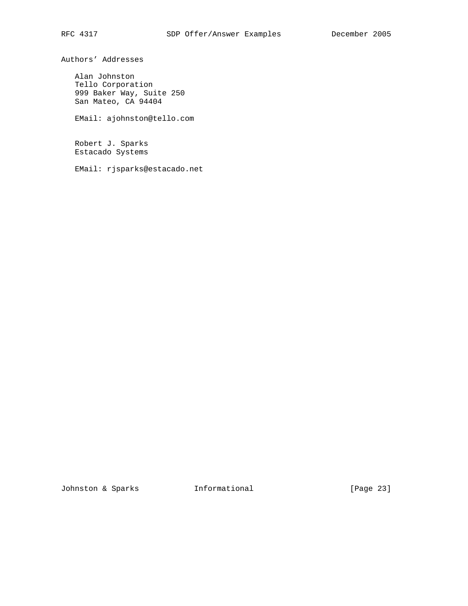Authors' Addresses

 Alan Johnston Tello Corporation 999 Baker Way, Suite 250 San Mateo, CA 94404

EMail: ajohnston@tello.com

 Robert J. Sparks Estacado Systems

EMail: rjsparks@estacado.net

Johnston & Sparks **Informational** [Page 23]